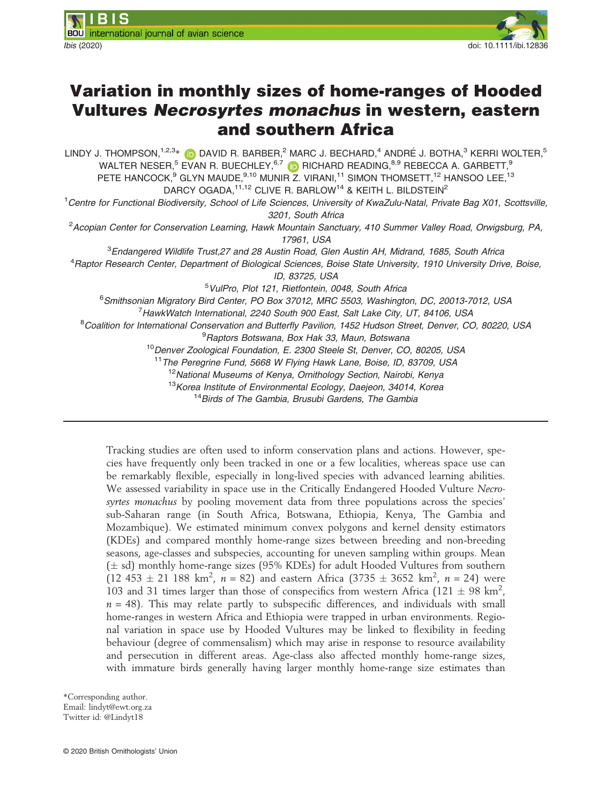

# Variation in monthly sizes of home-ranges of Hooded Vultures Necrosyrtes monachus in western, eastern and southern Africa

LINDY J. THOMPSON,<sup>1,2,3</sup>[\\*](https://orcid.org/0000-0001-9847-2003) (D DAVID R. BARBER,<sup>2</sup> MARC J. BECHARD,<sup>4</sup> ANDRÉ J. BOTHA,<sup>3</sup> KERRI WOLTER,<sup>5</sup> WALTER NESER, $^5$  EVAN R. BUECHLEY, $^{6,7}$  (i) RICHARD READING, $^{8,9}$  REBECCA A. GARBETT, $^9$ PETE HANCOCK, $^9$  GLYN MAUDE, $^{9,10}$  MUNIR Z. VIRANI, $^{11}$  SIMON THOMSETT, $^{12}$  HANSOO LEE, $^{13}$ DARCY OGADA, <sup>11,12</sup> CLIVE R. BARLOW<sup>14</sup> & KEITH L. BILDSTEIN<sup>2</sup>

<sup>1</sup>Centre for Functional Biodiversity, School of Life Sciences, University of KwaZulu-Natal, Private Bag X01, Scottsville, 3201, South Africa

<sup>2</sup> Acopian Center for Conservation Learning, Hawk Mountain Sanctuary, 410 Summer Valley Road, Orwigsburg, PA, 17961, USA

<sup>3</sup>Endangered Wildlife Trust,27 and 28 Austin Road, Glen Austin AH, Midrand, 1685, South Africa

<sup>4</sup> Raptor Research Center, Department of Biological Sciences, Boise State University, 1910 University Drive, Boise,

ID, 83725, USA

5 VulPro, Plot 121, Rietfontein, 0048, South Africa

6 Smithsonian Migratory Bird Center, PO Box 37012, MRC 5503, Washington, DC, 20013-7012, USA

<sup>7</sup> HawkWatch International, 2240 South 900 East, Salt Lake City, UT, 84106, USA

<sup>8</sup>Coalition for International Conservation and Butterfly Pavilion, 1452 Hudson Street, Denver, CO, 80220, USA

<sup>9</sup> Raptors Botswana, Box Hak 33, Maun, Botswana

<sup>10</sup> Denver Zoological Foundation, E. 2300 Steele St, Denver, CO, 80205, USA

<sup>11</sup> The Peregrine Fund, 5668 W Flying Hawk Lane, Boise, ID, 83709, USA

<sup>12</sup> National Museums of Kenya, Ornithology Section, Nairobi, Kenya

<sup>13</sup>Korea Institute of Environmental Ecology, Daejeon, 34014, Korea

<sup>14</sup> Birds of The Gambia, Brusubi Gardens, The Gambia

Tracking studies are often used to inform conservation plans and actions. However, species have frequently only been tracked in one or a few localities, whereas space use can be remarkably flexible, especially in long-lived species with advanced learning abilities. We assessed variability in space use in the Critically Endangered Hooded Vulture Necrosyrtes monachus by pooling movement data from three populations across the species' sub-Saharan range (in South Africa, Botswana, Ethiopia, Kenya, The Gambia and Mozambique). We estimated minimum convex polygons and kernel density estimators (KDEs) and compared monthly home-range sizes between breeding and non-breeding seasons, age-classes and subspecies, accounting for uneven sampling within groups. Mean  $(\pm \text{ sd})$  monthly home-range sizes (95% KDEs) for adult Hooded Vultures from southern  $(12 453 \pm 21 188 \text{ km}^2, n = 82)$  and eastern Africa  $(3735 \pm 3652 \text{ km}^2, n = 24)$  were 103 and 31 times larger than those of conspecifics from western Africa (121  $\pm$  98 km<sup>2</sup>,  $n = 48$ ). This may relate partly to subspecific differences, and individuals with small home-ranges in western Africa and Ethiopia were trapped in urban environments. Regional variation in space use by Hooded Vultures may be linked to flexibility in feeding behaviour (degree of commensalism) which may arise in response to resource availability and persecution in different areas. Age-class also affected monthly home-range sizes, with immature birds generally having larger monthly home-range size estimates than

\*Corresponding author. Email: [lindyt@ewt.org.za](mailto:)

Twitter id: @Lindyt18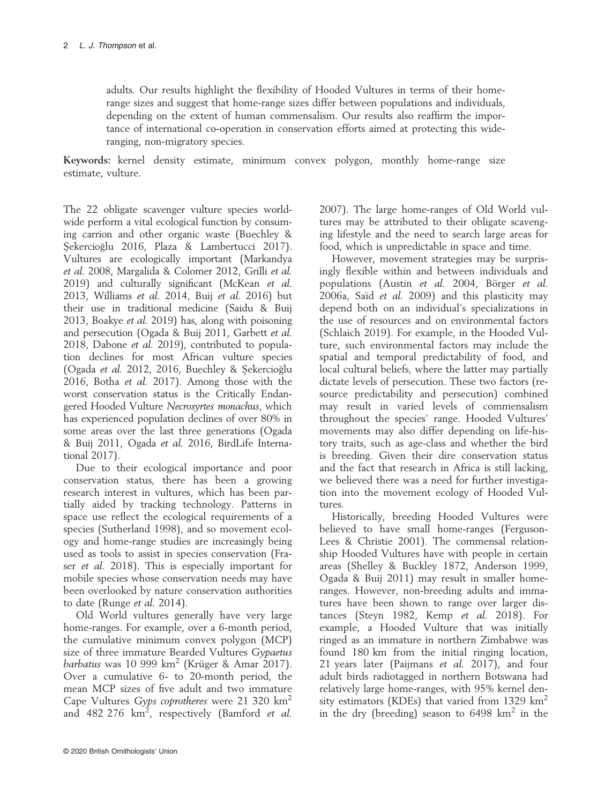adults. Our results highlight the flexibility of Hooded Vultures in terms of their homerange sizes and suggest that home-range sizes differ between populations and individuals, depending on the extent of human commensalism. Our results also reaffirm the importance of international co-operation in conservation efforts aimed at protecting this wideranging, non-migratory species.

Keywords: kernel density estimate, minimum convex polygon, monthly home-range size estimate, vulture.

The 22 obligate scavenger vulture species worldwide perform a vital ecological function by consuming carrion and other organic waste (Buechley & Sekercioglu 2016, Plaza & Lambertucci 2017). Vultures are ecologically important (Markandya et al. 2008, Margalida & Colomer 2012, Grilli et al. 2019) and culturally significant (McKean et al. 2013, Williams et al. 2014, Buij et al. 2016) but their use in traditional medicine (Saidu & Buij 2013, Boakye et al. 2019) has, along with poisoning and persecution (Ogada & Buij 2011, Garbett et al. 2018, Dabone et al. 2019), contributed to population declines for most African vulture species (Ogada et al. 2012, 2016, Buechley & Sekercioglu 2016, Botha et al. 2017). Among those with the worst conservation status is the Critically Endangered Hooded Vulture Necrosyrtes monachus, which has experienced population declines of over 80% in some areas over the last three generations (Ogada & Buij 2011, Ogada et al. 2016, BirdLife International 2017).

Due to their ecological importance and poor conservation status, there has been a growing research interest in vultures, which has been partially aided by tracking technology. Patterns in space use reflect the ecological requirements of a species (Sutherland 1998), and so movement ecology and home-range studies are increasingly being used as tools to assist in species conservation (Fraser et al. 2018). This is especially important for mobile species whose conservation needs may have been overlooked by nature conservation authorities to date (Runge et al. 2014).

Old World vultures generally have very large home-ranges. For example, over a 6-month period, the cumulative minimum convex polygon (MCP) size of three immature Bearded Vultures Gypaetus barbatus was  $10\,999\ \text{km}^2$  (Krüger & Amar 2017). Over a cumulative 6- to 20-month period, the mean MCP sizes of five adult and two immature Cape Vultures Gyps coprotheres were 21 320 km<sup>2</sup> and 482 276  $km^2$ , respectively (Bamford et al.

2007). The large home-ranges of Old World vultures may be attributed to their obligate scavenging lifestyle and the need to search large areas for food, which is unpredictable in space and time.

However, movement strategies may be surprisingly flexible within and between individuals and populations (Austin et al. 2004, Börger et al. 2006a, Saïd et al. 2009) and this plasticity may depend both on an individual's specializations in the use of resources and on environmental factors (Schlaich 2019). For example, in the Hooded Vulture, such environmental factors may include the spatial and temporal predictability of food, and local cultural beliefs, where the latter may partially dictate levels of persecution. These two factors (resource predictability and persecution) combined may result in varied levels of commensalism throughout the species' range. Hooded Vultures' movements may also differ depending on life-history traits, such as age-class and whether the bird is breeding. Given their dire conservation status and the fact that research in Africa is still lacking, we believed there was a need for further investigation into the movement ecology of Hooded Vultures.

Historically, breeding Hooded Vultures were believed to have small home-ranges (Ferguson-Lees & Christie 2001). The commensal relationship Hooded Vultures have with people in certain areas (Shelley & Buckley 1872, Anderson 1999, Ogada & Buij 2011) may result in smaller homeranges. However, non-breeding adults and immatures have been shown to range over larger distances (Steyn 1982, Kemp et al. 2018). For example, a Hooded Vulture that was initially ringed as an immature in northern Zimbabwe was found 180 km from the initial ringing location, 21 years later (Paijmans et al. 2017), and four adult birds radiotagged in northern Botswana had relatively large home-ranges, with 95% kernel density estimators (KDEs) that varied from 1329 km<sup>2</sup> in the dry (breeding) season to  $6498 \text{ km}^2$  in the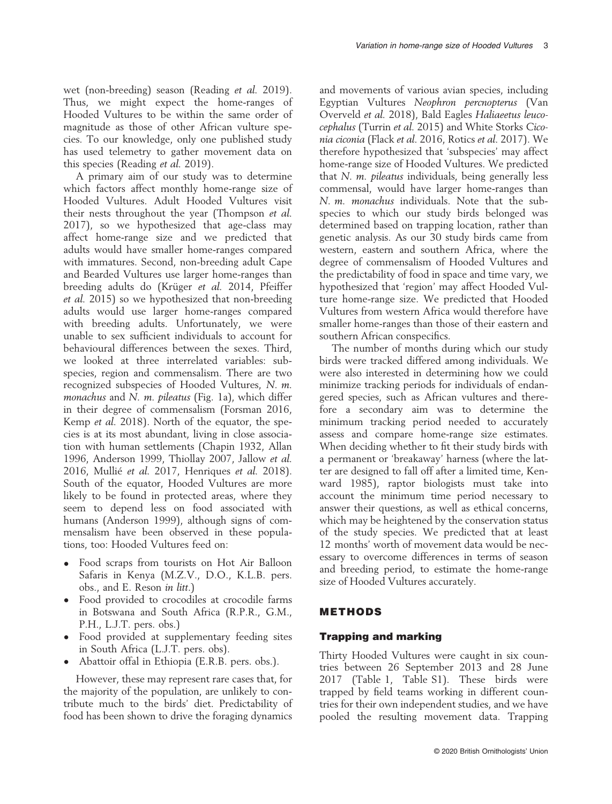wet (non-breeding) season (Reading et al. 2019). Thus, we might expect the home-ranges of Hooded Vultures to be within the same order of magnitude as those of other African vulture species. To our knowledge, only one published study has used telemetry to gather movement data on this species (Reading et al. 2019).

A primary aim of our study was to determine which factors affect monthly home-range size of Hooded Vultures. Adult Hooded Vultures visit their nests throughout the year (Thompson et al. 2017), so we hypothesized that age-class may affect home-range size and we predicted that adults would have smaller home-ranges compared with immatures. Second, non-breeding adult Cape and Bearded Vultures use larger home-ranges than breeding adults do (Krüger et al. 2014, Pfeiffer et al. 2015) so we hypothesized that non-breeding adults would use larger home-ranges compared with breeding adults. Unfortunately, we were unable to sex sufficient individuals to account for behavioural differences between the sexes. Third, we looked at three interrelated variables: subspecies, region and commensalism. There are two recognized subspecies of Hooded Vultures, N. m. monachus and N. m. pileatus (Fig. 1a), which differ in their degree of commensalism (Forsman 2016, Kemp et al. 2018). North of the equator, the species is at its most abundant, living in close association with human settlements (Chapin 1932, Allan 1996, Anderson 1999, Thiollay 2007, Jallow et al. 2016, Mullié et al. 2017, Henriques et al. 2018). South of the equator, Hooded Vultures are more likely to be found in protected areas, where they seem to depend less on food associated with humans (Anderson 1999), although signs of commensalism have been observed in these populations, too: Hooded Vultures feed on:

- Food scraps from tourists on Hot Air Balloon Safaris in Kenya (M.Z.V., D.O., K.L.B. pers. obs., and E. Reson in litt.)
- Food provided to crocodiles at crocodile farms in Botswana and South Africa (R.P.R., G.M., P.H., L.J.T. pers. obs.)
- Food provided at supplementary feeding sites in South Africa (L.J.T. pers. obs).
- Abattoir offal in Ethiopia (E.R.B. pers. obs.).

However, these may represent rare cases that, for the majority of the population, are unlikely to contribute much to the birds' diet. Predictability of food has been shown to drive the foraging dynamics and movements of various avian species, including Egyptian Vultures Neophron percnopterus (Van Overveld et al. 2018), Bald Eagles Haliaeetus leucocephalus (Turrin et al. 2015) and White Storks Ciconia ciconia (Flack et al. 2016, Rotics et al. 2017). We therefore hypothesized that 'subspecies' may affect home-range size of Hooded Vultures. We predicted that  $N$ ,  $m$ , *pileatus* individuals, being generally less commensal, would have larger home-ranges than N. m. monachus individuals. Note that the subspecies to which our study birds belonged was determined based on trapping location, rather than genetic analysis. As our 30 study birds came from western, eastern and southern Africa, where the degree of commensalism of Hooded Vultures and the predictability of food in space and time vary, we hypothesized that 'region' may affect Hooded Vulture home-range size. We predicted that Hooded Vultures from western Africa would therefore have smaller home-ranges than those of their eastern and southern African conspecifics.

The number of months during which our study birds were tracked differed among individuals. We were also interested in determining how we could minimize tracking periods for individuals of endangered species, such as African vultures and therefore a secondary aim was to determine the minimum tracking period needed to accurately assess and compare home-range size estimates. When deciding whether to fit their study birds with a permanent or 'breakaway' harness (where the latter are designed to fall off after a limited time, Kenward 1985), raptor biologists must take into account the minimum time period necessary to answer their questions, as well as ethical concerns, which may be heightened by the conservation status of the study species. We predicted that at least 12 months' worth of movement data would be necessary to overcome differences in terms of season and breeding period, to estimate the home-range size of Hooded Vultures accurately.

## METHODS

## Trapping and marking

Thirty Hooded Vultures were caught in six countries between 26 September 2013 and 28 June 2017 (Table 1, Table S1). These birds were trapped by field teams working in different countries for their own independent studies, and we have pooled the resulting movement data. Trapping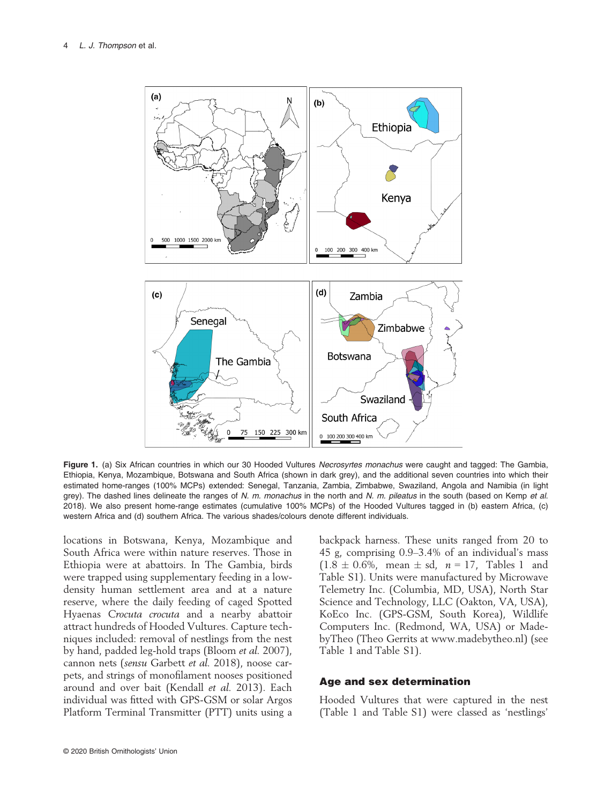

Figure 1. (a) Six African countries in which our 30 Hooded Vultures Necrosyrtes monachus were caught and tagged: The Gambia, Ethiopia, Kenya, Mozambique, Botswana and South Africa (shown in dark grey), and the additional seven countries into which their estimated home-ranges (100% MCPs) extended: Senegal, Tanzania, Zambia, Zimbabwe, Swaziland, Angola and Namibia (in light grey). The dashed lines delineate the ranges of N. m. monachus in the north and N. m. pileatus in the south (based on Kemp et al. 2018). We also present home-range estimates (cumulative 100% MCPs) of the Hooded Vultures tagged in (b) eastern Africa, (c) western Africa and (d) southern Africa. The various shades/colours denote different individuals.

locations in Botswana, Kenya, Mozambique and South Africa were within nature reserves. Those in Ethiopia were at abattoirs. In The Gambia, birds were trapped using supplementary feeding in a lowdensity human settlement area and at a nature reserve, where the daily feeding of caged Spotted Hyaenas Crocuta crocuta and a nearby abattoir attract hundreds of Hooded Vultures. Capture techniques included: removal of nestlings from the nest by hand, padded leg-hold traps (Bloom et al. 2007), cannon nets (sensu Garbett et al. 2018), noose carpets, and strings of monofilament nooses positioned around and over bait (Kendall et al. 2013). Each individual was fitted with GPS-GSM or solar Argos Platform Terminal Transmitter (PTT) units using a

backpack harness. These units ranged from 20 to 45 g, comprising 0.9–3.4% of an individual's mass  $(1.8 \pm 0.6\%$ , mean  $\pm$  sd,  $n = 17$ , Tables 1 and Table S1). Units were manufactured by Microwave Telemetry Inc. (Columbia, MD, USA), North Star Science and Technology, LLC (Oakton, VA, USA), KoEco Inc. (GPS-GSM, South Korea), Wildlife Computers Inc. (Redmond, WA, USA) or MadebyTheo (Theo Gerrits at [www.madebytheo.nl\)](http://www.madebytheo.nl) (see Table 1 and Table S1).

## Age and sex determination

Hooded Vultures that were captured in the nest (Table 1 and Table S1) were classed as 'nestlings'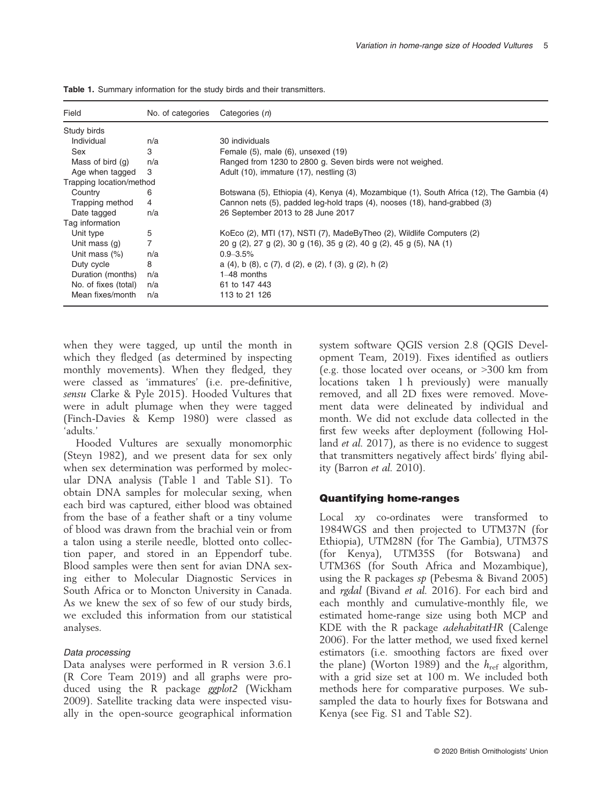| Field                    | No. of categories | Categories (n)                                                                           |
|--------------------------|-------------------|------------------------------------------------------------------------------------------|
| Study birds              |                   |                                                                                          |
| Individual               | n/a               | 30 individuals                                                                           |
| Sex                      | 3                 | Female (5), male (6), unsexed (19)                                                       |
| Mass of bird $(q)$       | n/a               | Ranged from 1230 to 2800 g. Seven birds were not weighed.                                |
| Age when tagged          | 3                 | Adult (10), immature (17), nestling (3)                                                  |
| Trapping location/method |                   |                                                                                          |
| Country                  | 6                 | Botswana (5), Ethiopia (4), Kenya (4), Mozambique (1), South Africa (12), The Gambia (4) |
| Trapping method          | 4                 | Cannon nets (5), padded leg-hold traps (4), nooses (18), hand-grabbed (3)                |
| Date tagged              | n/a               | 26 September 2013 to 28 June 2017                                                        |
| Tag information          |                   |                                                                                          |
| Unit type                | 5                 | KoEco (2), MTI (17), NSTI (7), MadeByTheo (2), Wildlife Computers (2)                    |
| Unit mass (g)            | 7                 | 20 g (2), 27 g (2), 30 g (16), 35 g (2), 40 g (2), 45 g (5), NA (1)                      |
| Unit mass $(\%)$         | n/a               | $0.9 - 3.5\%$                                                                            |
| Duty cycle               | 8                 | a $(4)$ , b $(8)$ , c $(7)$ , d $(2)$ , e $(2)$ , f $(3)$ , g $(2)$ , h $(2)$            |
| Duration (months)        | n/a               | $1-48$ months                                                                            |
| No. of fixes (total)     | n/a               | 61 to 147 443                                                                            |
| Mean fixes/month         | n/a               | 113 to 21 126                                                                            |

Table 1. Summary information for the study birds and their transmitters.

when they were tagged, up until the month in which they fledged (as determined by inspecting monthly movements). When they fledged, they were classed as 'immatures' (i.e. pre-definitive, sensu Clarke & Pyle 2015). Hooded Vultures that were in adult plumage when they were tagged (Finch-Davies & Kemp 1980) were classed as 'adults.'

Hooded Vultures are sexually monomorphic (Steyn 1982), and we present data for sex only when sex determination was performed by molecular DNA analysis (Table 1 and Table S1). To obtain DNA samples for molecular sexing, when each bird was captured, either blood was obtained from the base of a feather shaft or a tiny volume of blood was drawn from the brachial vein or from a talon using a sterile needle, blotted onto collection paper, and stored in an Eppendorf tube. Blood samples were then sent for avian DNA sexing either to Molecular Diagnostic Services in South Africa or to Moncton University in Canada. As we knew the sex of so few of our study birds, we excluded this information from our statistical analyses.

## Data processing

Data analyses were performed in R version 3.6.1 (R Core Team 2019) and all graphs were produced using the R package ggplot2 (Wickham 2009). Satellite tracking data were inspected visually in the open-source geographical information

system software QGIS version 2.8 (QGIS Development Team, 2019). Fixes identified as outliers (e.g. those located over oceans, or >300 km from locations taken 1 h previously) were manually removed, and all 2D fixes were removed. Movement data were delineated by individual and month. We did not exclude data collected in the first few weeks after deployment (following Holland et al. 2017), as there is no evidence to suggest that transmitters negatively affect birds' flying ability (Barron et al. 2010).

## Quantifying home-ranges

Local xy co-ordinates were transformed to 1984WGS and then projected to UTM37N (for Ethiopia), UTM28N (for The Gambia), UTM37S (for Kenya), UTM35S (for Botswana) and UTM36S (for South Africa and Mozambique), using the R packages sp (Pebesma & Bivand 2005) and *rgdal* (Bivand *et al.* 2016). For each bird and each monthly and cumulative-monthly file, we estimated home-range size using both MCP and KDE with the R package adehabitatHR (Calenge 2006). For the latter method, we used fixed kernel estimators (i.e. smoothing factors are fixed over the plane) (Worton 1989) and the  $h_{\text{ref}}$  algorithm, with a grid size set at 100 m. We included both methods here for comparative purposes. We subsampled the data to hourly fixes for Botswana and Kenya (see Fig. S1 and Table S2).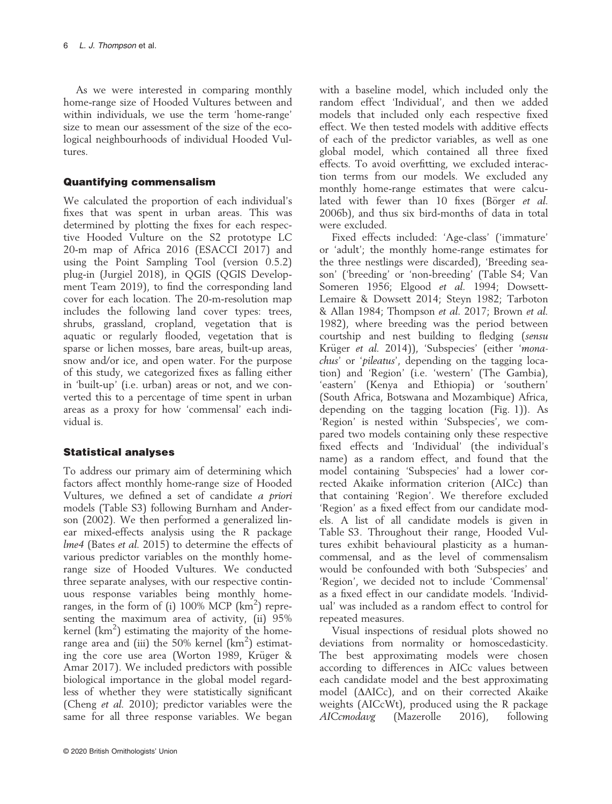As we were interested in comparing monthly home-range size of Hooded Vultures between and within individuals, we use the term 'home-range' size to mean our assessment of the size of the ecological neighbourhoods of individual Hooded Vultures.

## Quantifying commensalism

We calculated the proportion of each individual's fixes that was spent in urban areas. This was determined by plotting the fixes for each respective Hooded Vulture on the S2 prototype LC 20-m map of Africa 2016 (ESACCI 2017) and using the Point Sampling Tool (version 0.5.2) plug-in (Jurgiel 2018), in QGIS (QGIS Development Team 2019), to find the corresponding land cover for each location. The 20-m-resolution map includes the following land cover types: trees, shrubs, grassland, cropland, vegetation that is aquatic or regularly flooded, vegetation that is sparse or lichen mosses, bare areas, built-up areas, snow and/or ice, and open water. For the purpose of this study, we categorized fixes as falling either in 'built-up' (i.e. urban) areas or not, and we converted this to a percentage of time spent in urban areas as a proxy for how 'commensal' each individual is.

## Statistical analyses

To address our primary aim of determining which factors affect monthly home-range size of Hooded Vultures, we defined a set of candidate a priori models (Table S3) following Burnham and Anderson (2002). We then performed a generalized linear mixed-effects analysis using the R package lme4 (Bates et al. 2015) to determine the effects of various predictor variables on the monthly homerange size of Hooded Vultures. We conducted three separate analyses, with our respective continuous response variables being monthly homeranges, in the form of (i)  $100\%$  MCP ( $km^2$ ) representing the maximum area of activity, (ii) 95% kernel  $(km^2)$  estimating the majority of the homerange area and (iii) the 50% kernel  $(km^2)$  estimating the core use area (Worton 1989, Krüger & Amar 2017). We included predictors with possible biological importance in the global model regardless of whether they were statistically significant (Cheng et al. 2010); predictor variables were the same for all three response variables. We began with a baseline model, which included only the random effect 'Individual', and then we added models that included only each respective fixed effect. We then tested models with additive effects of each of the predictor variables, as well as one global model, which contained all three fixed effects. To avoid overfitting, we excluded interaction terms from our models. We excluded any monthly home-range estimates that were calculated with fewer than 10 fixes (Börger et al. 2006b), and thus six bird-months of data in total were excluded.

Fixed effects included: 'Age-class' ('immature' or 'adult'; the monthly home-range estimates for the three nestlings were discarded), 'Breeding season' ('breeding' or 'non-breeding' (Table S4; Van Someren 1956; Elgood et al. 1994; Dowsett-Lemaire & Dowsett 2014; Steyn 1982; Tarboton & Allan 1984; Thompson et al. 2017; Brown et al. 1982), where breeding was the period between courtship and nest building to fledging (sensu Krüger et al. 2014)), 'Subspecies' (either 'monachus' or 'pileatus', depending on the tagging location) and 'Region' (i.e. 'western' (The Gambia), 'eastern' (Kenya and Ethiopia) or 'southern' (South Africa, Botswana and Mozambique) Africa, depending on the tagging location (Fig. 1)). As 'Region' is nested within 'Subspecies', we compared two models containing only these respective fixed effects and 'Individual' (the individual's name) as a random effect, and found that the model containing 'Subspecies' had a lower corrected Akaike information criterion (AICc) than that containing 'Region'. We therefore excluded 'Region' as a fixed effect from our candidate models. A list of all candidate models is given in Table S3. Throughout their range, Hooded Vultures exhibit behavioural plasticity as a humancommensal, and as the level of commensalism would be confounded with both 'Subspecies' and 'Region', we decided not to include 'Commensal' as a fixed effect in our candidate models. 'Individual' was included as a random effect to control for repeated measures.

Visual inspections of residual plots showed no deviations from normality or homoscedasticity. The best approximating models were chosen according to differences in AICc values between each candidate model and the best approximating model ( $\triangle$ AICc), and on their corrected Akaike weights (AICcWt), produced using the R package AICcmodavg (Mazerolle 2016), following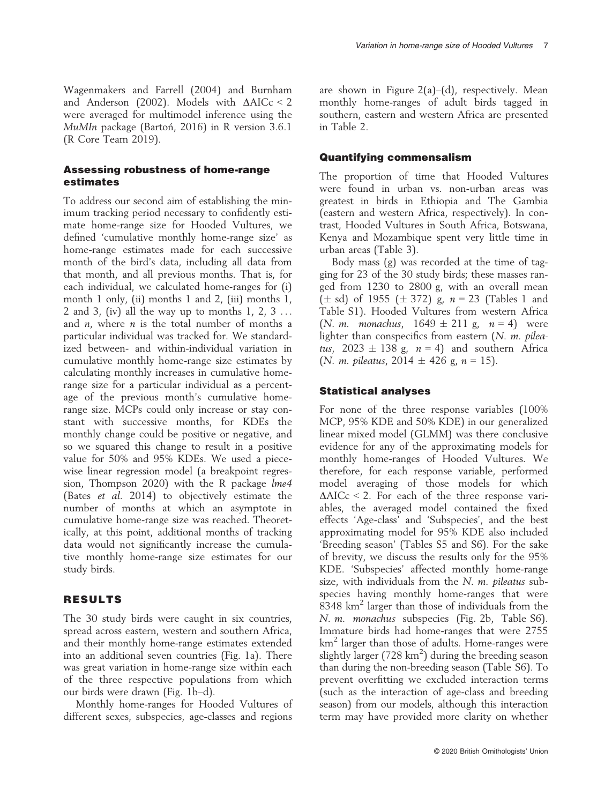Wagenmakers and Farrell (2004) and Burnham and Anderson (2002). Models with  $\triangle AICc < 2$ were averaged for multimodel inference using the MuMIn package (Bartoń, 2016) in R version 3.6.1 (R Core Team 2019).

## Assessing robustness of home-range estimates

To address our second aim of establishing the minimum tracking period necessary to confidently estimate home-range size for Hooded Vultures, we defined 'cumulative monthly home-range size' as home-range estimates made for each successive month of the bird's data, including all data from that month, and all previous months. That is, for each individual, we calculated home-ranges for (i) month 1 only, (ii) months 1 and 2, (iii) months 1, 2 and 3, (iv) all the way up to months  $1, 2, 3...$ and  $n$ , where  $n$  is the total number of months a particular individual was tracked for. We standardized between- and within-individual variation in cumulative monthly home-range size estimates by calculating monthly increases in cumulative homerange size for a particular individual as a percentage of the previous month's cumulative homerange size. MCPs could only increase or stay constant with successive months, for KDEs the monthly change could be positive or negative, and so we squared this change to result in a positive value for 50% and 95% KDEs. We used a piecewise linear regression model (a breakpoint regression, Thompson 2020) with the R package *lme4* (Bates et al. 2014) to objectively estimate the number of months at which an asymptote in cumulative home-range size was reached. Theoretically, at this point, additional months of tracking data would not significantly increase the cumulative monthly home-range size estimates for our study birds.

## RESULTS

The 30 study birds were caught in six countries, spread across eastern, western and southern Africa, and their monthly home-range estimates extended into an additional seven countries (Fig. 1a). There was great variation in home-range size within each of the three respective populations from which our birds were drawn (Fig. 1b–d).

Monthly home-ranges for Hooded Vultures of different sexes, subspecies, age-classes and regions are shown in Figure  $2(a)$ –(d), respectively. Mean monthly home-ranges of adult birds tagged in southern, eastern and western Africa are presented in Table 2.

## Quantifying commensalism

The proportion of time that Hooded Vultures were found in urban vs. non-urban areas was greatest in birds in Ethiopia and The Gambia (eastern and western Africa, respectively). In contrast, Hooded Vultures in South Africa, Botswana, Kenya and Mozambique spent very little time in urban areas (Table 3).

Body mass (g) was recorded at the time of tagging for 23 of the 30 study birds; these masses ranged from 1230 to 2800 g, with an overall mean  $(\pm \text{ sd})$  of 1955  $(\pm 372)$  g,  $n = 23$  (Tables 1 and Table S1). Hooded Vultures from western Africa (*N. m. monachus*,  $1649 \pm 211$  g,  $n = 4$ ) were lighter than conspecifics from eastern  $(N. m.$  pileatus, 2023  $\pm$  138 g,  $n = 4$ ) and southern Africa (N. m. pileatus, 2014  $\pm$  426 g, n = 15).

## Statistical analyses

For none of the three response variables (100% MCP, 95% KDE and 50% KDE) in our generalized linear mixed model (GLMM) was there conclusive evidence for any of the approximating models for monthly home-ranges of Hooded Vultures. We therefore, for each response variable, performed model averaging of those models for which  $\triangle AICc < 2$ . For each of the three response variables, the averaged model contained the fixed effects 'Age-class' and 'Subspecies', and the best approximating model for 95% KDE also included 'Breeding season' (Tables S5 and S6). For the sake of brevity, we discuss the results only for the 95% KDE. 'Subspecies' affected monthly home-range size, with individuals from the  $N$ .  $m$ . pileatus subspecies having monthly home-ranges that were 8348 km<sup>2</sup> larger than those of individuals from the N. m. monachus subspecies (Fig. 2b, Table S6). Immature birds had home-ranges that were 2755  $km<sup>2</sup>$  larger than those of adults. Home-ranges were slightly larger (728  $km^2$ ) during the breeding season than during the non-breeding season (Table S6). To prevent overfitting we excluded interaction terms (such as the interaction of age-class and breeding season) from our models, although this interaction term may have provided more clarity on whether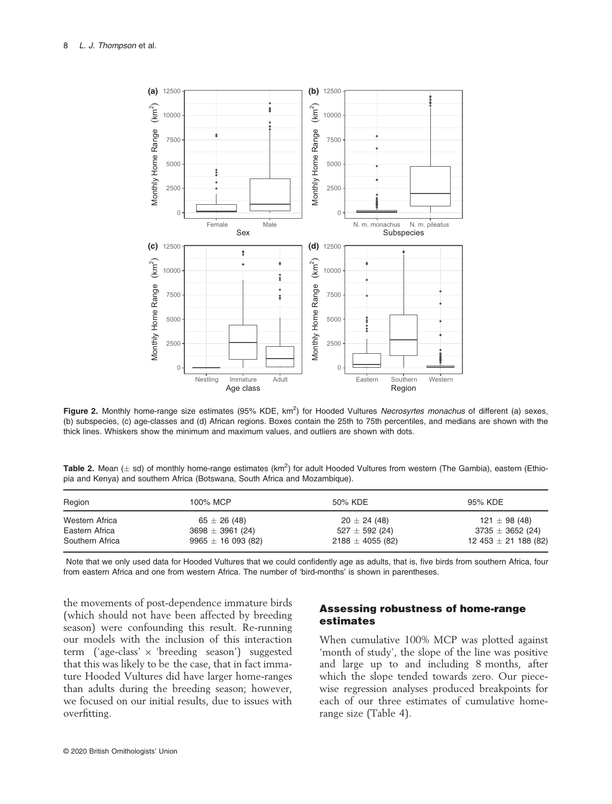

Figure 2. Monthly home-range size estimates (95% KDE, km<sup>2</sup>) for Hooded Vultures Necrosyrtes monachus of different (a) sexes, (b) subspecies, (c) age-classes and (d) African regions. Boxes contain the 25th to 75th percentiles, and medians are shown with the thick lines. Whiskers show the minimum and maximum values, and outliers are shown with dots.

| Table 2. Mean ( $\pm$ sd) of monthly home-range estimates (km <sup>2</sup> ) for adult Hooded Vultures from western (The Gambia), eastern (Ethio- |  |  |  |  |
|---------------------------------------------------------------------------------------------------------------------------------------------------|--|--|--|--|
| pia and Kenya) and southern Africa (Botswana, South Africa and Mozambique).                                                                       |  |  |  |  |

| Region          | 100% MCP             | 50% KDE              | 95% KDE                  |  |
|-----------------|----------------------|----------------------|--------------------------|--|
| Western Africa  | $65 \pm 26(48)$      | $20 \pm 24(48)$      | 121 $\pm$ 98 (48)        |  |
| Eastern Africa  | $3698 \pm 3961$ (24) | $527 \pm 592$ (24)   | $3735 \pm 3652$ (24)     |  |
| Southern Africa | $9965 \pm 16093(82)$ | $2188 \pm 4055$ (82) | 12 453 $\pm$ 21 188 (82) |  |

Note that we only used data for Hooded Vultures that we could confidently age as adults, that is, five birds from southern Africa, four from eastern Africa and one from western Africa. The number of 'bird-months' is shown in parentheses.

the movements of post-dependence immature birds (which should not have been affected by breeding season) were confounding this result. Re-running our models with the inclusion of this interaction term ('age-class' × 'breeding season') suggested that this was likely to be the case, that in fact immature Hooded Vultures did have larger home-ranges than adults during the breeding season; however, we focused on our initial results, due to issues with overfitting.

## Assessing robustness of home-range estimates

When cumulative 100% MCP was plotted against 'month of study', the slope of the line was positive and large up to and including 8 months, after which the slope tended towards zero. Our piecewise regression analyses produced breakpoints for each of our three estimates of cumulative homerange size (Table 4).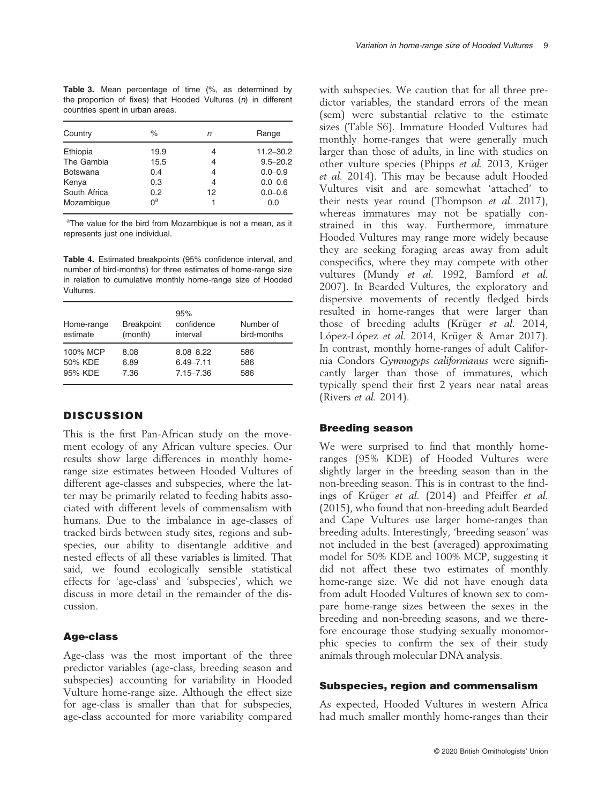Table 3. Mean percentage of time (%, as determined by the proportion of fixes) that Hooded Vultures (n) in different countries spent in urban areas.

| %    | n  | Range         |  |
|------|----|---------------|--|
| 19.9 | 4  | $11.2 - 30.2$ |  |
| 15.5 | 4  | $9.5 - 20.2$  |  |
| 0.4  | 4  | $0.0 - 0.9$   |  |
| 0.3  | 4  | $0.0 - 0.6$   |  |
| 0.2  | 12 | $0.0 - 0.6$   |  |
| ∩ª   |    | 0.0           |  |
|      |    |               |  |

<sup>a</sup>The value for the bird from Mozambique is not a mean, as it represents just one individual.

Table 4. Estimated breakpoints (95% confidence interval, and number of bird-months) for three estimates of home-range size in relation to cumulative monthly home-range size of Hooded Vultures.

| Home-range<br>estimate         | <b>Breakpoint</b><br>(month) | 95%<br>confidence<br>interval                   | Number of<br>bird-months |
|--------------------------------|------------------------------|-------------------------------------------------|--------------------------|
| 100% MCP<br>50% KDE<br>95% KDE | 8.08<br>6.89<br>7.36         | $8.08 - 8.22$<br>$6.49 - 7.11$<br>$7.15 - 7.36$ | 586<br>586<br>586        |

## **DISCUSSION**

This is the first Pan-African study on the movement ecology of any African vulture species. Our results show large differences in monthly homerange size estimates between Hooded Vultures of different age-classes and subspecies, where the latter may be primarily related to feeding habits associated with different levels of commensalism with humans. Due to the imbalance in age-classes of tracked birds between study sites, regions and subspecies, our ability to disentangle additive and nested effects of all these variables is limited. That said, we found ecologically sensible statistical effects for 'age-class' and 'subspecies', which we discuss in more detail in the remainder of the discussion.

#### Age-class

Age-class was the most important of the three predictor variables (age-class, breeding season and subspecies) accounting for variability in Hooded Vulture home-range size. Although the effect size for age-class is smaller than that for subspecies, age-class accounted for more variability compared with subspecies. We caution that for all three predictor variables, the standard errors of the mean (sem) were substantial relative to the estimate sizes (Table S6). Immature Hooded Vultures had monthly home-ranges that were generally much larger than those of adults, in line with studies on other vulture species (Phipps et al. 2013, Krüger et al. 2014). This may be because adult Hooded Vultures visit and are somewhat 'attached' to their nests year round (Thompson et al. 2017), whereas immatures may not be spatially constrained in this way. Furthermore, immature Hooded Vultures may range more widely because they are seeking foraging areas away from adult conspecifics, where they may compete with other vultures (Mundy et al. 1992, Bamford et al. 2007). In Bearded Vultures, the exploratory and dispersive movements of recently fledged birds resulted in home-ranges that were larger than those of breeding adults (Krüger et al. 2014, López-López et al. 2014, Krüger & Amar 2017). In contrast, monthly home-ranges of adult California Condors Gymnogyps californianus were significantly larger than those of immatures, which typically spend their first 2 years near natal areas (Rivers et al. 2014).

#### Breeding season

We were surprised to find that monthly homeranges (95% KDE) of Hooded Vultures were slightly larger in the breeding season than in the non-breeding season. This is in contrast to the findings of Krüger et al. (2014) and Pfeiffer et al. (2015), who found that non-breeding adult Bearded and Cape Vultures use larger home-ranges than breeding adults. Interestingly, 'breeding season' was not included in the best (averaged) approximating model for 50% KDE and 100% MCP, suggesting it did not affect these two estimates of monthly home-range size. We did not have enough data from adult Hooded Vultures of known sex to compare home-range sizes between the sexes in the breeding and non-breeding seasons, and we therefore encourage those studying sexually monomorphic species to confirm the sex of their study animals through molecular DNA analysis.

#### Subspecies, region and commensalism

As expected, Hooded Vultures in western Africa had much smaller monthly home-ranges than their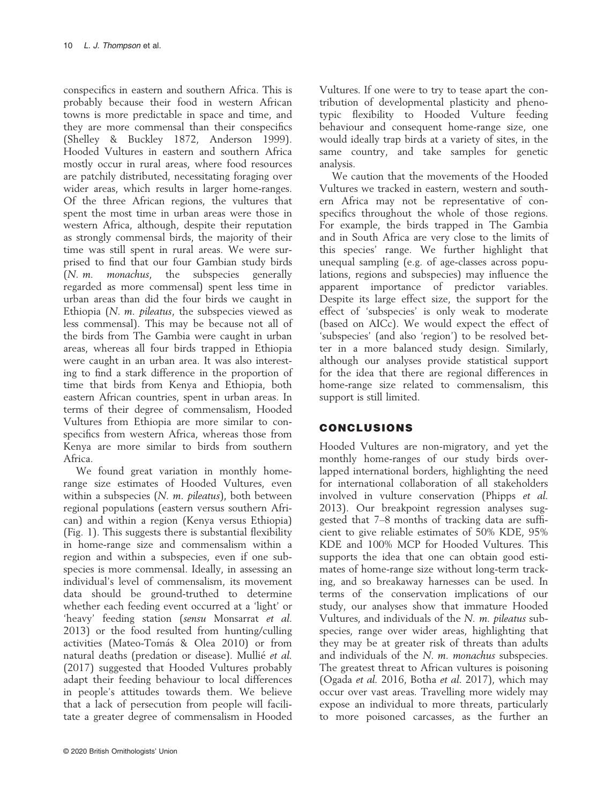conspecifics in eastern and southern Africa. This is probably because their food in western African towns is more predictable in space and time, and they are more commensal than their conspecifics (Shelley & Buckley 1872, Anderson 1999). Hooded Vultures in eastern and southern Africa mostly occur in rural areas, where food resources are patchily distributed, necessitating foraging over wider areas, which results in larger home-ranges. Of the three African regions, the vultures that spent the most time in urban areas were those in western Africa, although, despite their reputation as strongly commensal birds, the majority of their time was still spent in rural areas. We were surprised to find that our four Gambian study birds (N. m. monachus, the subspecies generally regarded as more commensal) spent less time in urban areas than did the four birds we caught in Ethiopia  $(N. m.$  pileatus, the subspecies viewed as less commensal). This may be because not all of the birds from The Gambia were caught in urban areas, whereas all four birds trapped in Ethiopia were caught in an urban area. It was also interesting to find a stark difference in the proportion of time that birds from Kenya and Ethiopia, both eastern African countries, spent in urban areas. In terms of their degree of commensalism, Hooded Vultures from Ethiopia are more similar to conspecifics from western Africa, whereas those from Kenya are more similar to birds from southern Africa.

We found great variation in monthly homerange size estimates of Hooded Vultures, even within a subspecies (N. m. pileatus), both between regional populations (eastern versus southern African) and within a region (Kenya versus Ethiopia) (Fig. 1). This suggests there is substantial flexibility in home-range size and commensalism within a region and within a subspecies, even if one subspecies is more commensal. Ideally, in assessing an individual's level of commensalism, its movement data should be ground-truthed to determine whether each feeding event occurred at a 'light' or 'heavy' feeding station (sensu Monsarrat et al. 2013) or the food resulted from hunting/culling activities (Mateo-Tomás & Olea 2010) or from natural deaths (predation or disease). Mullié et al. (2017) suggested that Hooded Vultures probably adapt their feeding behaviour to local differences in people's attitudes towards them. We believe that a lack of persecution from people will facilitate a greater degree of commensalism in Hooded Vultures. If one were to try to tease apart the contribution of developmental plasticity and phenotypic flexibility to Hooded Vulture feeding behaviour and consequent home-range size, one would ideally trap birds at a variety of sites, in the same country, and take samples for genetic analysis.

We caution that the movements of the Hooded Vultures we tracked in eastern, western and southern Africa may not be representative of conspecifics throughout the whole of those regions. For example, the birds trapped in The Gambia and in South Africa are very close to the limits of this species' range. We further highlight that unequal sampling (e.g. of age-classes across populations, regions and subspecies) may influence the apparent importance of predictor variables. Despite its large effect size, the support for the effect of 'subspecies' is only weak to moderate (based on AICc). We would expect the effect of 'subspecies' (and also 'region') to be resolved better in a more balanced study design. Similarly, although our analyses provide statistical support for the idea that there are regional differences in home-range size related to commensalism, this support is still limited.

## CONCLUSIONS

Hooded Vultures are non-migratory, and yet the monthly home-ranges of our study birds overlapped international borders, highlighting the need for international collaboration of all stakeholders involved in vulture conservation (Phipps et al. 2013). Our breakpoint regression analyses suggested that 7–8 months of tracking data are sufficient to give reliable estimates of 50% KDE, 95% KDE and 100% MCP for Hooded Vultures. This supports the idea that one can obtain good estimates of home-range size without long-term tracking, and so breakaway harnesses can be used. In terms of the conservation implications of our study, our analyses show that immature Hooded Vultures, and individuals of the N. m. pileatus subspecies, range over wider areas, highlighting that they may be at greater risk of threats than adults and individuals of the N. m. monachus subspecies. The greatest threat to African vultures is poisoning (Ogada et al. 2016, Botha et al. 2017), which may occur over vast areas. Travelling more widely may expose an individual to more threats, particularly to more poisoned carcasses, as the further an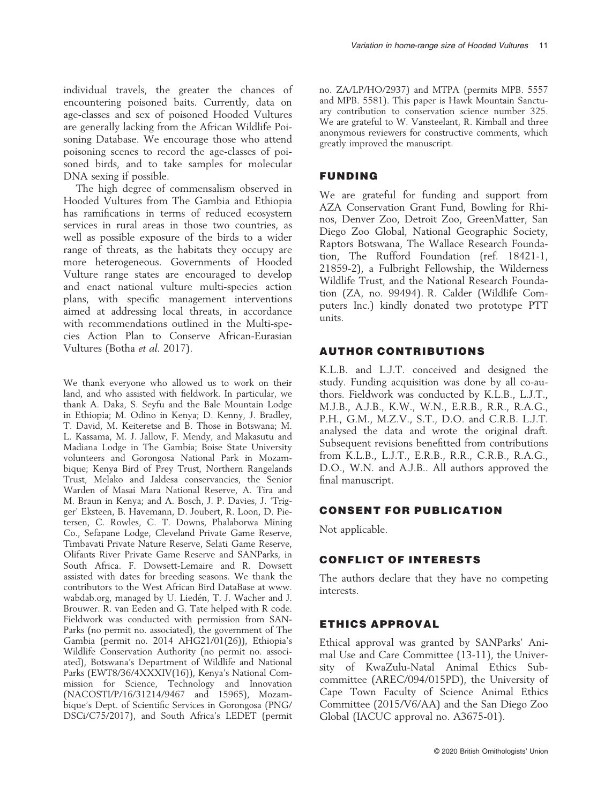individual travels, the greater the chances of encountering poisoned baits. Currently, data on age-classes and sex of poisoned Hooded Vultures are generally lacking from the African Wildlife Poisoning Database. We encourage those who attend poisoning scenes to record the age-classes of poisoned birds, and to take samples for molecular DNA sexing if possible.

The high degree of commensalism observed in Hooded Vultures from The Gambia and Ethiopia has ramifications in terms of reduced ecosystem services in rural areas in those two countries, as well as possible exposure of the birds to a wider range of threats, as the habitats they occupy are more heterogeneous. Governments of Hooded Vulture range states are encouraged to develop and enact national vulture multi-species action plans, with specific management interventions aimed at addressing local threats, in accordance with recommendations outlined in the Multi-species Action Plan to Conserve African-Eurasian Vultures (Botha et al. 2017).

We thank everyone who allowed us to work on their land, and who assisted with fieldwork. In particular, we thank A. Daka, S. Seyfu and the Bale Mountain Lodge in Ethiopia; M. Odino in Kenya; D. Kenny, J. Bradley, T. David, M. Keiteretse and B. Those in Botswana; M. L. Kassama, M. J. Jallow, F. Mendy, and Makasutu and Madiana Lodge in The Gambia; Boise State University volunteers and Gorongosa National Park in Mozambique; Kenya Bird of Prey Trust, Northern Rangelands Trust, Melako and Jaldesa conservancies, the Senior Warden of Masai Mara National Reserve, A. Tira and M. Braun in Kenya; and A. Bosch, J. P. Davies, J. 'Trigger' Eksteen, B. Havemann, D. Joubert, R. Loon, D. Pietersen, C. Rowles, C. T. Downs, Phalaborwa Mining Co., Sefapane Lodge, Cleveland Private Game Reserve, Timbavati Private Nature Reserve, Selati Game Reserve, Olifants River Private Game Reserve and SANParks, in South Africa. F. Dowsett-Lemaire and R. Dowsett assisted with dates for breeding seasons. We thank the contributors to the West African Bird DataBase at [www.](http://www.wabdab.org) [wabdab.org,](http://www.wabdab.org) managed by U. Lieden, T. J. Wacher and J. Brouwer. R. van Eeden and G. Tate helped with R code. Fieldwork was conducted with permission from SAN-Parks (no permit no. associated), the government of The Gambia (permit no. 2014 AHG21/01(26)), Ethiopia's Wildlife Conservation Authority (no permit no. associated), Botswana's Department of Wildlife and National Parks (EWT8/36/4XXXIV(16)), Kenya's National Commission for Science, Technology and Innovation (NACOSTI/P/16/31214/9467 and 15965), Mozambique's Dept. of Scientific Services in Gorongosa (PNG/ DSCi/C75/2017), and South Africa's LEDET (permit no. ZA/LP/HO/2937) and MTPA (permits MPB. 5557 and MPB. 5581). This paper is Hawk Mountain Sanctuary contribution to conservation science number 325. We are grateful to W. Vansteelant, R. Kimball and three anonymous reviewers for constructive comments, which greatly improved the manuscript.

## FUNDING

We are grateful for funding and support from AZA Conservation Grant Fund, Bowling for Rhinos, Denver Zoo, Detroit Zoo, GreenMatter, San Diego Zoo Global, National Geographic Society, Raptors Botswana, The Wallace Research Foundation, The Rufford Foundation (ref. 18421-1, 21859-2), a Fulbright Fellowship, the Wilderness Wildlife Trust, and the National Research Foundation (ZA, no. 99494). R. Calder (Wildlife Computers Inc.) kindly donated two prototype PTT units.

#### AUTHOR CONTRIBUTIONS

K.L.B. and L.J.T. conceived and designed the study. Funding acquisition was done by all co-authors. Fieldwork was conducted by K.L.B., L.J.T., M.J.B., A.J.B., K.W., W.N., E.R.B., R.R., R.A.G., P.H., G.M., M.Z.V., S.T., D.O. and C.R.B. L.J.T. analysed the data and wrote the original draft. Subsequent revisions benefitted from contributions from K.L.B., L.J.T., E.R.B., R.R., C.R.B., R.A.G., D.O., W.N. and A.J.B.. All authors approved the final manuscript.

## CONSENT FOR PUBLICATION

Not applicable.

#### CONFLICT OF INTERESTS

The authors declare that they have no competing interests.

## ETHICS APPROVAL

Ethical approval was granted by SANParks' Animal Use and Care Committee (13-11), the University of KwaZulu-Natal Animal Ethics Subcommittee (AREC/094/015PD), the University of Cape Town Faculty of Science Animal Ethics Committee (2015/V6/AA) and the San Diego Zoo Global (IACUC approval no. A3675-01).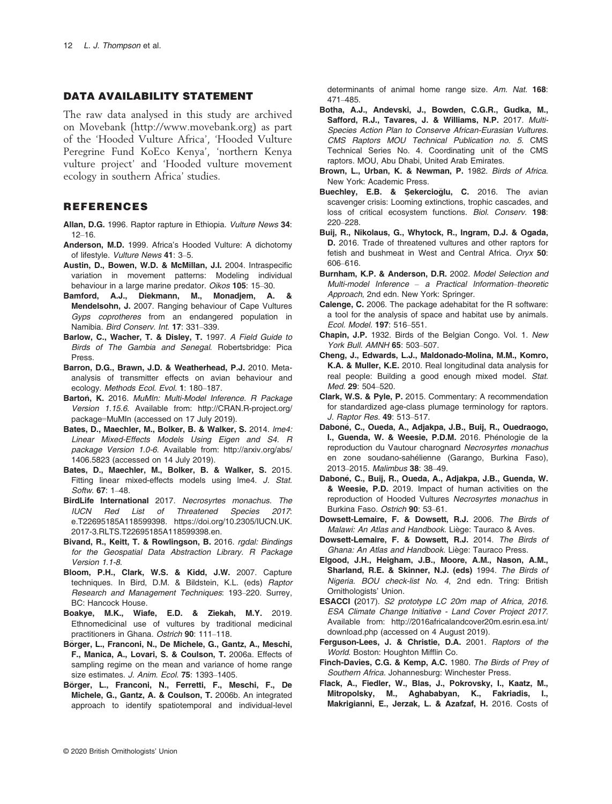#### DATA AVAILABILITY STATEMENT

The raw data analysed in this study are archived on Movebank ([http://www.movebank.org\)](http://www.movebank.org) as part of the 'Hooded Vulture Africa', 'Hooded Vulture Peregrine Fund KoEco Kenya', 'northern Kenya vulture project' and 'Hooded vulture movement ecology in southern Africa' studies.

## REFERENCES

- Allan, D.G. 1996. Raptor rapture in Ethiopia. Vulture News 34: 12–16.
- Anderson, M.D. 1999. Africa's Hooded Vulture: A dichotomy of lifestyle. Vulture News 41: 3–5.
- Austin, D., Bowen, W.D. & McMillan, J.I. 2004. Intraspecific variation in movement patterns: Modeling individual behaviour in a large marine predator. Oikos 105: 15–30.
- Bamford, A.J., Diekmann, M., Monadjem, A. & Mendelsohn, J. 2007. Ranging behaviour of Cape Vultures Gyps coprotheres from an endangered population in Namibia. Bird Conserv. Int. 17: 331–339.
- Barlow, C., Wacher, T. & Disley, T. 1997. A Field Guide to Birds of The Gambia and Senegal. Robertsbridge: Pica Press.
- Barron, D.G., Brawn, J.D. & Weatherhead, P.J. 2010. Metaanalysis of transmitter effects on avian behaviour and ecology. Methods Ecol. Evol. 1: 180–187.
- Barton, K. 2016. MuMIn: Multi-Model Inference. R Package Version 1.15.6. Available from: [http://CRAN.R-project.org/](http://CRAN.R-project.org/package=MuMIn) [package](http://CRAN.R-project.org/package=MuMIn)=MuMIn (accessed on 17 July 2019).
- Bates, D., Maechler, M., Bolker, B. & Walker, S. 2014. lme4: Linear Mixed-Effects Models Using Eigen and S4. R package Version 1.0-6. Available from: [http://arxiv.org/abs/](http://arxiv.org/abs/1406.5823) [1406.5823](http://arxiv.org/abs/1406.5823) (accessed on 14 July 2019).
- Bates, D., Maechler, M., Bolker, B. & Walker, S. 2015. Fitting linear mixed-effects models using Ime4. J. Stat. Softw. 67: 1–48.
- BirdLife International 2017. Necrosyrtes monachus. The IUCN Red List of Threatened Species 2017: e.T22695185A118599398. [https://doi.org/10.2305/IUCN.UK.](https://doi.org/10.2305/IUCN.UK.2017-3.RLTS.T22695185A118599398.en) [2017-3.RLTS.T22695185A118599398.en](https://doi.org/10.2305/IUCN.UK.2017-3.RLTS.T22695185A118599398.en).
- Bivand, R., Keitt, T. & Rowlingson, B. 2016. rgdal: Bindings for the Geospatial Data Abstraction Library. R Package Version 1.1-8.
- Bloom, P.H., Clark, W.S. & Kidd, J.W. 2007. Capture techniques. In Bird, D.M. & Bildstein, K.L. (eds) Raptor Research and Management Techniques: 193–220. Surrey, BC: Hancock House.
- Boakye, M.K., Wiafe, E.D. & Ziekah, M.Y. 2019. Ethnomedicinal use of vultures by traditional medicinal practitioners in Ghana. Ostrich 90: 111–118.
- Börger, L., Franconi, N., De Michele, G., Gantz, A., Meschi, F., Manica, A., Lovari, S. & Coulson, T. 2006a. Effects of sampling regime on the mean and variance of home range size estimates. J. Anim. Ecol. 75: 1393-1405.
- Börger, L., Franconi, N., Ferretti, F., Meschi, F., De Michele, G., Gantz, A. & Coulson, T. 2006b. An integrated approach to identify spatiotemporal and individual-level

determinants of animal home range size. Am. Nat. 168: 471–485.

- Botha, A.J., Andevski, J., Bowden, C.G.R., Gudka, M., Safford, R.J., Tavares, J. & Williams, N.P. 2017. Multi-Species Action Plan to Conserve African-Eurasian Vultures. CMS Raptors MOU Technical Publication no. 5. CMS Technical Series No. 4. Coordinating unit of the CMS raptors. MOU, Abu Dhabi, United Arab Emirates.
- Brown, L., Urban, K. & Newman, P. 1982. Birds of Africa. New York: Academic Press.
- Buechley, E.B. & Sekercioğlu, C. 2016. The avian scavenger crisis: Looming extinctions, trophic cascades, and loss of critical ecosystem functions. Biol. Conserv. 198: 220–228.
- Buij, R., Nikolaus, G., Whytock, R., Ingram, D.J. & Ogada, D. 2016. Trade of threatened vultures and other raptors for fetish and bushmeat in West and Central Africa. Oryx 50: 606–616.
- Burnham, K.P. & Anderson, D.R. 2002. Model Selection and Multi-model Inference – a Practical Information–theoretic Approach, 2nd edn. New York: Springer.
- Calenge, C. 2006. The package adehabitat for the R software: a tool for the analysis of space and habitat use by animals. Ecol. Model. 197: 516–551.
- Chapin, J.P. 1932. Birds of the Belgian Congo. Vol. 1. New York Bull. AMNH 65: 503–507.
- Cheng, J., Edwards, L.J., Maldonado-Molina, M.M., Komro, K.A. & Muller, K.E. 2010. Real longitudinal data analysis for real people: Building a good enough mixed model. Stat. Med. 29: 504–520.
- Clark, W.S. & Pyle, P. 2015. Commentary: A recommendation for standardized age-class plumage terminology for raptors. J. Raptor Res. 49: 513–517.
- Dabone, C., Oueda, A., Adjakpa, J.B., Buij, R., Ouedraogo, I., Guenda, W. & Weesie, P.D.M. 2016. Phénologie de la reproduction du Vautour charognard Necrosyrtes monachus en zone soudano-sahelienne (Garango, Burkina Faso), 2013–2015. Malimbus 38: 38–49.
- Dabone, C., Buij, R., Oueda, A., Adjakpa, J.B., Guenda, W. & Weesie, P.D. 2019. Impact of human activities on the reproduction of Hooded Vultures Necrosyrtes monachus in Burkina Faso. Ostrich 90: 53–61.
- Dowsett-Lemaire, F. & Dowsett, R.J. 2006. The Birds of Malawi: An Atlas and Handbook. Liège: Tauraco & Aves.
- Dowsett-Lemaire, F. & Dowsett, R.J. 2014. The Birds of Ghana: An Atlas and Handbook. Liège: Tauraco Press.
- Elgood, J.H., Heigham, J.B., Moore, A.M., Nason, A.M., Sharland, R.E. & Skinner, N.J. (eds) 1994. The Birds of Nigeria. BOU check-list No. 4, 2nd edn. Tring: British Ornithologists' Union.
- ESACCI (2017). S2 prototype LC 20m map of Africa, 2016. ESA Climate Change Initiative - Land Cover Project 2017. Available from: [http://2016africalandcover20m.esrin.esa.int/](http://2016africalandcover20m.esrin.esa.int/download.php) [download.php](http://2016africalandcover20m.esrin.esa.int/download.php) (accessed on 4 August 2019).
- Ferguson-Lees, J. & Christie, D.A. 2001. Raptors of the World. Boston: Houghton Mifflin Co.
- Finch-Davies, C.G. & Kemp, A.C. 1980. The Birds of Prey of Southern Africa. Johannesburg: Winchester Press.
- Flack, A., Fiedler, W., Blas, J., Pokrovsky, I., Kaatz, M., Mitropolsky, M., Aghababyan, K., Fakriadis, I., Makrigianni, E., Jerzak, L. & Azafzaf, H. 2016. Costs of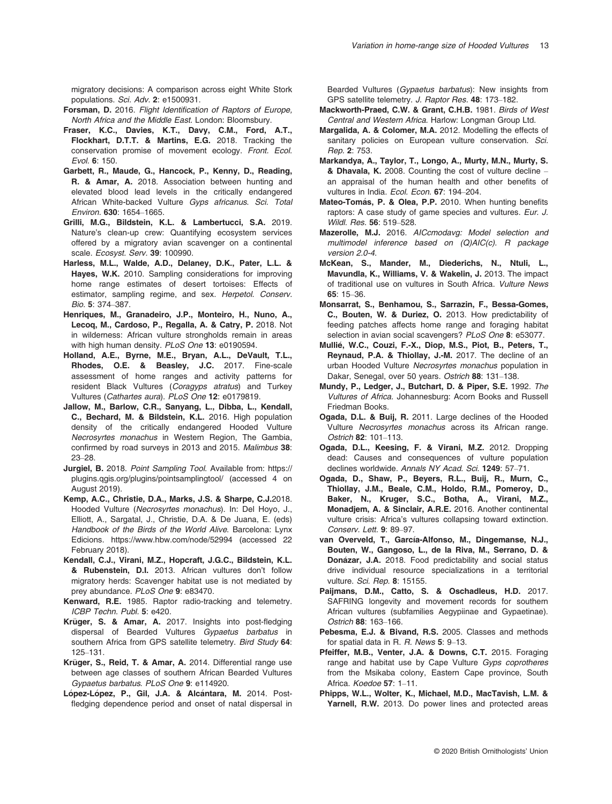migratory decisions: A comparison across eight White Stork populations. Sci. Adv. 2: e1500931.

- Forsman, D. 2016. Flight Identification of Raptors of Europe. North Africa and the Middle East. London: Bloomsbury.
- Fraser, K.C., Davies, K.T., Davy, C.M., Ford, A.T., Flockhart, D.T.T. & Martins, E.G. 2018. Tracking the conservation promise of movement ecology. Front. Ecol. Evol. 6: 150.
- Garbett, R., Maude, G., Hancock, P., Kenny, D., Reading, R. & Amar, A. 2018. Association between hunting and elevated blood lead levels in the critically endangered African White-backed Vulture Gyps africanus. Sci. Total Environ. 630: 1654–1665.
- Grilli, M.G., Bildstein, K.L. & Lambertucci, S.A. 2019. Nature's clean-up crew: Quantifying ecosystem services offered by a migratory avian scavenger on a continental scale. Ecosyst. Serv. 39: 100990.
- Harless, M.L., Walde, A.D., Delaney, D.K., Pater, L.L. & Hayes, W.K. 2010. Sampling considerations for improving home range estimates of desert tortoises: Effects of estimator, sampling regime, and sex. Herpetol. Conserv. Bio. 5: 374–387.
- Henriques, M., Granadeiro, J.P., Monteiro, H., Nuno, A., Lecoq, M., Cardoso, P., Regalla, A. & Catry, P. 2018. Not in wilderness: African vulture strongholds remain in areas with high human density. PLoS One 13: e0190594.
- Holland, A.E., Byrne, M.E., Bryan, A.L., DeVault, T.L., Rhodes, O.E. & Beasley, J.C. 2017. Fine-scale assessment of home ranges and activity patterns for resident Black Vultures (Coragyps atratus) and Turkey Vultures (Cathartes aura). PLoS One 12: e0179819.
- Jallow, M., Barlow, C.R., Sanyang, L., Dibba, L., Kendall, C., Bechard, M. & Bildstein, K.L. 2016. High population density of the critically endangered Hooded Vulture Necrosyrtes monachus in Western Region, The Gambia, confirmed by road surveys in 2013 and 2015. Malimbus 38: 23–28.
- Jurgiel, B. 2018. Point Sampling Tool. Available from: [https://](https://plugins.qgis.org/plugins/pointsamplingtool/) [plugins.qgis.org/plugins/pointsamplingtool/](https://plugins.qgis.org/plugins/pointsamplingtool/) (accessed 4 on August 2019).
- Kemp, A.C., Christie, D.A., Marks, J.S. & Sharpe, C.J.2018. Hooded Vulture (Necrosyrtes monachus). In: Del Hoyo, J., Elliott, A., Sargatal, J., Christie, D.A. & De Juana, E. (eds) Handbook of the Birds of the World Alive. Barcelona: Lynx Edicions.<https://www.hbw.com/node/52994> (accessed 22 February 2018).
- Kendall, C.J., Virani, M.Z., Hopcraft, J.G.C., Bildstein, K.L. & Rubenstein, D.I. 2013. African vultures don't follow migratory herds: Scavenger habitat use is not mediated by prey abundance. PLoS One 9: e83470.
- Kenward, R.E. 1985. Raptor radio-tracking and telemetry. ICBP Techn. Publ. 5: e420.
- Krüger, S. & Amar, A. 2017. Insights into post-fledging dispersal of Bearded Vultures Gypaetus barbatus in southern Africa from GPS satellite telemetry. Bird Study 64: 125–131.
- Krüger, S., Reid, T. & Amar, A. 2014. Differential range use between age classes of southern African Bearded Vultures Gypaetus barbatus. PLoS One 9: e114920.
- López-López, P., Gil, J.A. & Alcántara, M. 2014. Postfledging dependence period and onset of natal dispersal in

Bearded Vultures (Gypaetus barbatus): New insights from GPS satellite telemetry. J. Raptor Res. 48: 173–182.

- Mackworth-Praed, C.W. & Grant, C.H.B. 1981. Birds of West Central and Western Africa. Harlow: Longman Group Ltd.
- Margalida, A. & Colomer, M.A. 2012. Modelling the effects of sanitary policies on European vulture conservation. Sci. Rep. 2: 753.
- Markandya, A., Taylor, T., Longo, A., Murty, M.N., Murty, S. & Dhavala, K. 2008. Counting the cost of vulture decline – an appraisal of the human health and other benefits of vultures in India. Ecol. Econ. 67: 194-204.
- Mateo-Tomás, P. & Olea, P.P. 2010. When hunting benefits raptors: A case study of game species and vultures. Eur. J. Wildl. Res. 56: 519–528.
- Mazerolle, M.J. 2016. AICcmodavg: Model selection and multimodel inference based on (Q)AIC(c). R package version 2.0-4.
- McKean, S., Mander, M., Diederichs, N., Ntuli, L., Mavundla, K., Williams, V. & Wakelin, J. 2013. The impact of traditional use on vultures in South Africa. Vulture News 65: 15–36.
- Monsarrat, S., Benhamou, S., Sarrazin, F., Bessa-Gomes, C., Bouten, W. & Duriez, O. 2013. How predictability of feeding patches affects home range and foraging habitat selection in avian social scavengers? PLoS One 8: e53077.
- Mullie, W.C., Couzi, F.-X., Diop, M.S., Piot, B., Peters, T., Reynaud, P.A. & Thiollay, J.-M. 2017. The decline of an urban Hooded Vulture Necrosyrtes monachus population in Dakar, Senegal, over 50 years. Ostrich 88: 131–138.
- Mundy, P., Ledger, J., Butchart, D. & Piper, S.E. 1992. The Vultures of Africa. Johannesburg: Acorn Books and Russell Friedman Books.
- Ogada, D.L. & Buij, R. 2011. Large declines of the Hooded Vulture Necrosyrtes monachus across its African range. Ostrich 82: 101–113.
- Ogada, D.L., Keesing, F. & Virani, M.Z. 2012. Dropping dead: Causes and consequences of vulture population declines worldwide. Annals NY Acad. Sci. 1249: 57-71.
- Ogada, D., Shaw, P., Beyers, R.L., Buij, R., Murn, C., Thiollay, J.M., Beale, C.M., Holdo, R.M., Pomeroy, D., Baker, N., Kruger, S.C., Botha, A., Virani, M.Z., Monadjem, A. & Sinclair, A.R.E. 2016. Another continental vulture crisis: Africa's vultures collapsing toward extinction. Conserv. Lett. 9: 89–97.
- van Overveld, T., García-Alfonso, M., Dingemanse, N.J., Bouten, W., Gangoso, L., de la Riva, M., Serrano, D. & Donázar, J.A. 2018. Food predictability and social status drive individual resource specializations in a territorial vulture. Sci. Rep. 8: 15155.
- Paijmans, D.M., Catto, S. & Oschadleus, H.D. 2017. SAFRING longevity and movement records for southern African vultures (subfamilies Aegypiinae and Gypaetinae). Ostrich 88: 163–166.
- Pebesma, E.J. & Bivand, R.S. 2005. Classes and methods for spatial data in R. R. News 5: 9–13.
- Pfeiffer, M.B., Venter, J.A. & Downs, C.T. 2015. Foraging range and habitat use by Cape Vulture Gyps coprotheres from the Msikaba colony, Eastern Cape province, South Africa. Koedoe 57: 1–11.
- Phipps, W.L., Wolter, K., Michael, M.D., MacTavish, L.M. & Yarnell, R.W. 2013. Do power lines and protected areas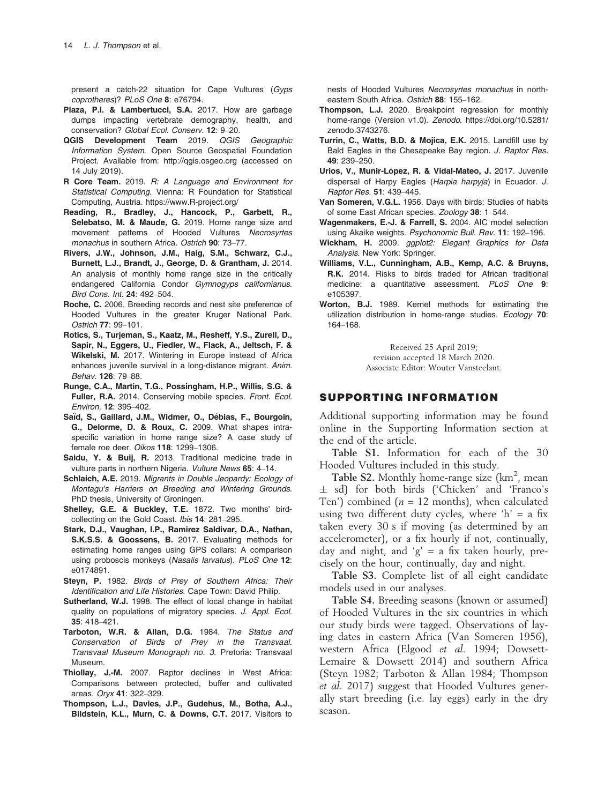present a catch-22 situation for Cape Vultures (Gyps coprotheres)? PLoS One 8: e76794.

- Plaza, P.I. & Lambertucci, S.A. 2017. How are garbage dumps impacting vertebrate demography, health, and conservation? Global Ecol. Conserv. 12: 9–20.
- QGIS Development Team 2019. QGIS Geographic Information System. Open Source Geospatial Foundation Project. Available from:<http://qgis.osgeo.org> (accessed on 14 July 2019).
- R Core Team. 2019. R: A Language and Environment for Statistical Computing. Vienna: R Foundation for Statistical Computing, Austria.<https://www.R-project.org/>
- Reading, R., Bradley, J., Hancock, P., Garbett, R., Selebatso, M. & Maude, G. 2019. Home range size and movement patterns of Hooded Vultures Necrosyrtes monachus in southern Africa. Ostrich 90: 73–77.
- Rivers, J.W., Johnson, J.M., Haig, S.M., Schwarz, C.J., Burnett, L.J., Brandt, J., George, D. & Grantham, J. 2014. An analysis of monthly home range size in the critically endangered California Condor Gymnogyps californianus. Bird Cons. Int. 24: 492–504.
- Roche, C. 2006. Breeding records and nest site preference of Hooded Vultures in the greater Kruger National Park. Ostrich 77: 99–101.
- Rotics, S., Turjeman, S., Kaatz, M., Resheff, Y.S., Zurell, D., Sapir, N., Eggers, U., Fiedler, W., Flack, A., Jeltsch, F. & Wikelski, M. 2017. Wintering in Europe instead of Africa enhances juvenile survival in a long-distance migrant. Anim. Behav. 126: 79–88.
- Runge, C.A., Martin, T.G., Possingham, H.P., Willis, S.G. & Fuller, R.A. 2014. Conserving mobile species. Front. Ecol. Environ. 12: 395–402.
- Saïd, S., Gaillard, J.M., Widmer, O., Débias, F., Bourgoin, G., Delorme, D. & Roux, C. 2009. What shapes intraspecific variation in home range size? A case study of female roe deer. Oikos 118: 1299–1306.
- Saidu, Y. & Buij, R. 2013. Traditional medicine trade in vulture parts in northern Nigeria. Vulture News 65: 4–14.
- Schlaich, A.E. 2019. Migrants in Double Jeopardy: Ecology of Montagu's Harriers on Breeding and Wintering Grounds. PhD thesis, University of Groningen.
- Shelley, G.E. & Buckley, T.E. 1872. Two months' birdcollecting on the Gold Coast. Ibis 14: 281–295.
- Stark, D.J., Vaughan, I.P., Ramirez Saldivar, D.A., Nathan, S.K.S.S. & Goossens, B. 2017. Evaluating methods for estimating home ranges using GPS collars: A comparison using proboscis monkeys (Nasalis larvatus). PLoS One 12: e0174891.
- Steyn, P. 1982. Birds of Prey of Southern Africa: Their Identification and Life Histories. Cape Town: David Philip.
- Sutherland, W.J. 1998. The effect of local change in habitat quality on populations of migratory species. J. Appl. Ecol. 35: 418–421.
- Tarboton, W.R. & Allan, D.G. 1984. The Status and Conservation of Birds of Prey in the Transvaal. Transvaal Museum Monograph no. 3. Pretoria: Transvaal Museum.
- Thiollay, J.-M. 2007. Raptor declines in West Africa: Comparisons between protected, buffer and cultivated areas. Oryx 41: 322–329.
- Thompson, L.J., Davies, J.P., Gudehus, M., Botha, A.J., Bildstein, K.L., Murn, C. & Downs, C.T. 2017. Visitors to

nests of Hooded Vultures Necrosyrtes monachus in northeastern South Africa. Ostrich 88: 155–162.

- Thompson, L.J. 2020. Breakpoint regression for monthly home-range (Version v1.0). Zenodo. [https://doi.org/10.5281/](https://doi.org/10.5281/zenodo.3743276) [zenodo.3743276](https://doi.org/10.5281/zenodo.3743276).
- Turrin, C., Watts, B.D. & Mojica, E.K. 2015. Landfill use by Bald Eagles in the Chesapeake Bay region. J. Raptor Res. 49: 239–250.
- Urios, V., Muñir-López, R. & Vidal-Mateo, J. 2017. Juvenile dispersal of Harpy Eagles (Harpia harpyja) in Ecuador. J. Raptor Res. 51: 439–445.
- Van Someren, V.G.L. 1956. Days with birds: Studies of habits of some East African species. Zoology 38: 1–544.
- Wagenmakers, E.-J. & Farrell, S. 2004. AIC model selection using Akaike weights. Psychonomic Bull. Rev. 11: 192–196.
- Wickham, H. 2009. ggplot2: Elegant Graphics for Data Analysis. New York: Springer.
- Williams, V.L., Cunningham, A.B., Kemp, A.C. & Bruyns, R.K. 2014. Risks to birds traded for African traditional medicine: a quantitative assessment. PLoS One 9: e105397.
- Worton, B.J. 1989. Kernel methods for estimating the utilization distribution in home-range studies. Ecology 70: 164–168.

Received 25 April 2019; revision accepted 18 March 2020. Associate Editor: Wouter Vansteelant.

#### SUPPORTING INFORMATION

Additional supporting information may be found online in the Supporting Information section at the end of the article.

Table S1. Information for each of the 30 Hooded Vultures included in this study.

Table S2. Monthly home-range size  $(km^2,$  mean sd) for both birds ('Chicken' and 'Franco's Ten') combined ( $n = 12$  months), when calculated using two different duty cycles, where 'h' = a fix taken every 30 s if moving (as determined by an accelerometer), or a fix hourly if not, continually, day and night, and 'g' = a fix taken hourly, precisely on the hour, continually, day and night.

Table S3. Complete list of all eight candidate models used in our analyses.

Table S4. Breeding seasons (known or assumed) of Hooded Vultures in the six countries in which our study birds were tagged. Observations of laying dates in eastern Africa (Van Someren 1956), western Africa (Elgood et al. 1994; Dowsett-Lemaire & Dowsett 2014) and southern Africa (Steyn 1982; Tarboton & Allan 1984; Thompson et al. 2017) suggest that Hooded Vultures generally start breeding (i.e. lay eggs) early in the dry season.